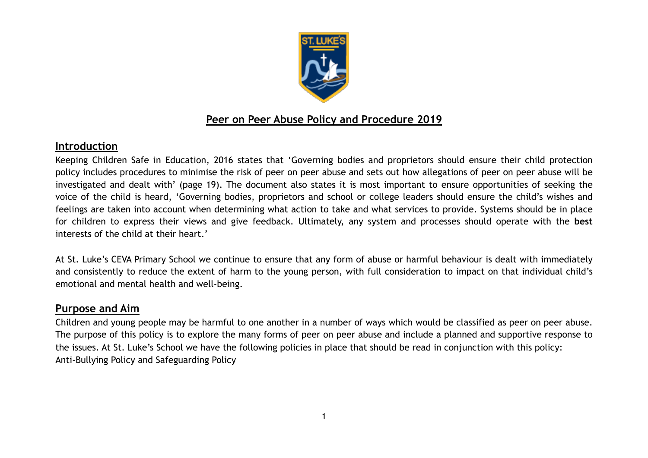

# **Peer on Peer Abuse Policy and Procedure 2019**

# **Introduction**

Keeping Children Safe in Education, 2016 states that 'Governing bodies and proprietors should ensure their child protection policy includes procedures to minimise the risk of peer on peer abuse and sets out how allegations of peer on peer abuse will be investigated and dealt with' (page 19). The document also states it is most important to ensure opportunities of seeking the voice of the child is heard, 'Governing bodies, proprietors and school or college leaders should ensure the child's wishes and feelings are taken into account when determining what action to take and what services to provide. Systems should be in place for children to express their views and give feedback. Ultimately, any system and processes should operate with the **best** interests of the child at their heart.'

At St. Luke's CEVA Primary School we continue to ensure that any form of abuse or harmful behaviour is dealt with immediately and consistently to reduce the extent of harm to the young person, with full consideration to impact on that individual child's emotional and mental health and well-being.

## **Purpose and Aim**

Children and young people may be harmful to one another in a number of ways which would be classified as peer on peer abuse. The purpose of this policy is to explore the many forms of peer on peer abuse and include a planned and supportive response to the issues. At St. Luke's School we have the following policies in place that should be read in conjunction with this policy: Anti-Bullying Policy and Safeguarding Policy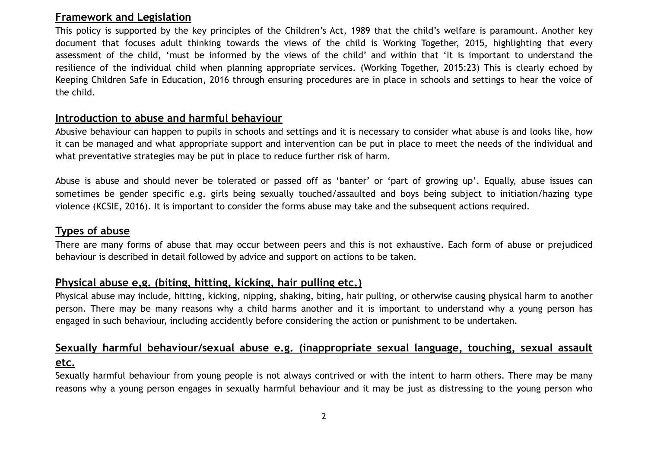### **Framework and Legislation**

This policy is supported by the key principles of the Children's Act, 1989 that the child's welfare is paramount. Another key document that focuses adult thinking towards the views of the child is Working Together, 2015, highlighting that every assessment of the child, 'must be informed by the views of the child' and within that 'It is important to understand the resilience of the individual child when planning appropriate services. (Working Together, 2015:23) This is clearly echoed by Keeping Children Safe in Education, 2016 through ensuring procedures are in place in schools and settings to hear the voice of the child.

### **Introduction to abuse and harmful behaviour**

Abusive behaviour can happen to pupils in schools and settings and it is necessary to consider what abuse is and looks like, how it can be managed and what appropriate support and intervention can be put in place to meet the needs of the individual and what preventative strategies may be put in place to reduce further risk of harm.

Abuse is abuse and should never be tolerated or passed off as 'banter' or 'part of growing up'. Equally, abuse issues can sometimes be gender specific e.g. girls being sexually touched/assaulted and boys being subject to initiation/hazing type violence (KCSIE, 2016). It is important to consider the forms abuse may take and the subsequent actions required.

# **Types of abuse**

There are many forms of abuse that may occur between peers and this is not exhaustive. Each form of abuse or prejudiced behaviour is described in detail followed by advice and support on actions to be taken.

# **Physical abuse e,g. (biting, hitting, kicking, hair pulling etc.)**

Physical abuse may include, hitting, kicking, nipping, shaking, biting, hair pulling, or otherwise causing physical harm to another person. There may be many reasons why a child harms another and it is important to understand why a young person has engaged in such behaviour, including accidently before considering the action or punishment to be undertaken.

# **Sexually harmful behaviour/sexual abuse e.g. (inappropriate sexual language, touching, sexual assault etc.**

Sexually harmful behaviour from young people is not always contrived or with the intent to harm others. There may be many reasons why a young person engages in sexually harmful behaviour and it may be just as distressing to the young person who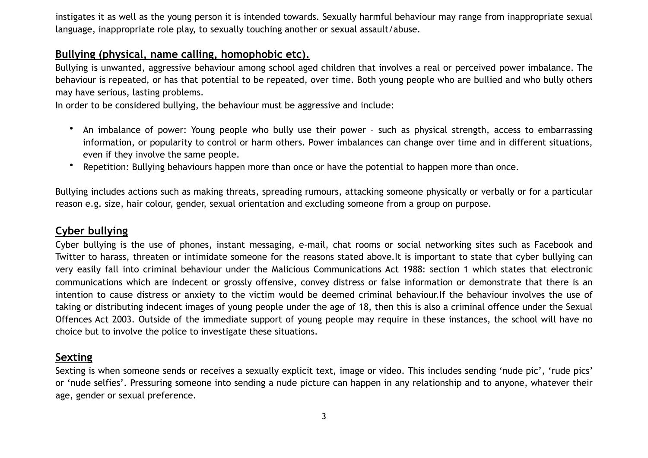instigates it as well as the young person it is intended towards. Sexually harmful behaviour may range from inappropriate sexual language, inappropriate role play, to sexually touching another or sexual assault/abuse.

## **Bullying (physical, name calling, homophobic etc).**

Bullying is unwanted, aggressive behaviour among school aged children that involves a real or perceived power imbalance. The behaviour is repeated, or has that potential to be repeated, over time. Both young people who are bullied and who bully others may have serious, lasting problems.

In order to be considered bullying, the behaviour must be aggressive and include:

- An imbalance of power: Young people who bully use their power such as physical strength, access to embarrassing information, or popularity to control or harm others. Power imbalances can change over time and in different situations, even if they involve the same people.
- Repetition: Bullying behaviours happen more than once or have the potential to happen more than once.

Bullying includes actions such as making threats, spreading rumours, attacking someone physically or verbally or for a particular reason e.g. size, hair colour, gender, sexual orientation and excluding someone from a group on purpose.

## **Cyber bullying**

Cyber bullying is the use of phones, instant messaging, e-mail, chat rooms or social networking sites such as Facebook and Twitter to harass, threaten or intimidate someone for the reasons stated above.It is important to state that cyber bullying can very easily fall into criminal behaviour under the Malicious Communications Act 1988: section 1 which states that electronic communications which are indecent or grossly offensive, convey distress or false information or demonstrate that there is an intention to cause distress or anxiety to the victim would be deemed criminal behaviour.If the behaviour involves the use of taking or distributing indecent images of young people under the age of 18, then this is also a criminal offence under the Sexual Offences Act 2003. Outside of the immediate support of young people may require in these instances, the school will have no choice but to involve the police to investigate these situations.

### **Sexting**

Sexting is when someone sends or receives a sexually explicit text, image or video. This includes sending 'nude pic', 'rude pics' or 'nude selfies'. Pressuring someone into sending a nude picture can happen in any relationship and to anyone, whatever their age, gender or sexual preference.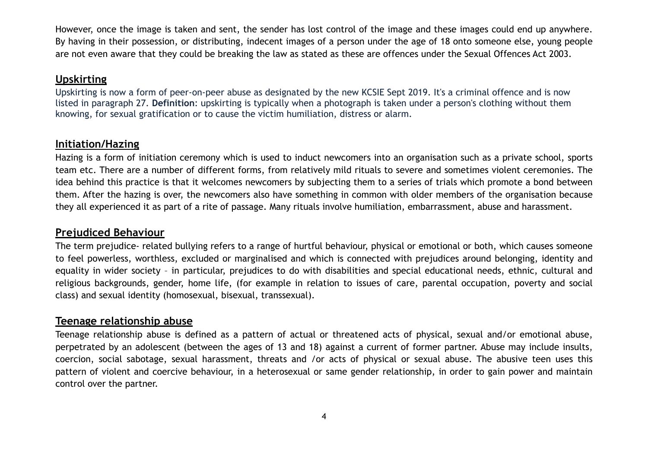However, once the image is taken and sent, the sender has lost control of the image and these images could end up anywhere. By having in their possession, or distributing, indecent images of a person under the age of 18 onto someone else, young people are not even aware that they could be breaking the law as stated as these are offences under the Sexual Offences Act 2003.

# **Upskirting**

Upskirting is now a form of peer-on-peer abuse as designated by the new KCSIE Sept 2019. It's a criminal offence and is now listed in paragraph 27. **Definition**: upskirting is typically when a photograph is taken under a person's clothing without them knowing, for sexual gratification or to cause the victim humiliation, distress or alarm.

# **Initiation/Hazing**

Hazing is a form of initiation ceremony which is used to induct newcomers into an organisation such as a private school, sports team etc. There are a number of different forms, from relatively mild rituals to severe and sometimes violent ceremonies. The idea behind this practice is that it welcomes newcomers by subjecting them to a series of trials which promote a bond between them. After the hazing is over, the newcomers also have something in common with older members of the organisation because they all experienced it as part of a rite of passage. Many rituals involve humiliation, embarrassment, abuse and harassment.

## **Prejudiced Behaviour**

The term prejudice- related bullying refers to a range of hurtful behaviour, physical or emotional or both, which causes someone to feel powerless, worthless, excluded or marginalised and which is connected with prejudices around belonging, identity and equality in wider society – in particular, prejudices to do with disabilities and special educational needs, ethnic, cultural and religious backgrounds, gender, home life, (for example in relation to issues of care, parental occupation, poverty and social class) and sexual identity (homosexual, bisexual, transsexual).

## **Teenage relationship abuse**

Teenage relationship abuse is defined as a pattern of actual or threatened acts of physical, sexual and/or emotional abuse, perpetrated by an adolescent (between the ages of 13 and 18) against a current of former partner. Abuse may include insults, coercion, social sabotage, sexual harassment, threats and /or acts of physical or sexual abuse. The abusive teen uses this pattern of violent and coercive behaviour, in a heterosexual or same gender relationship, in order to gain power and maintain control over the partner.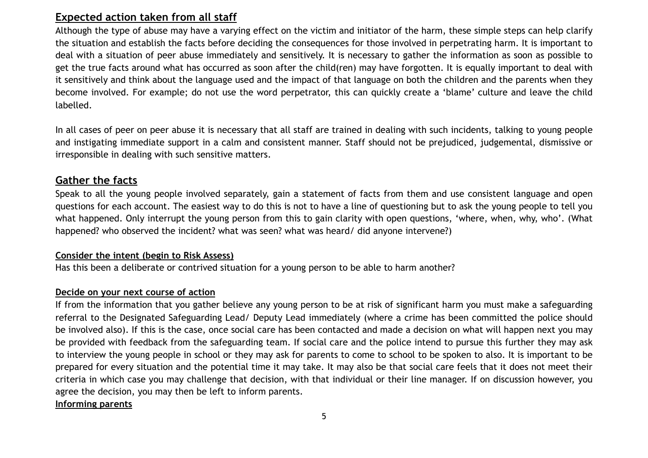# **Expected action taken from all staff**

Although the type of abuse may have a varying effect on the victim and initiator of the harm, these simple steps can help clarify the situation and establish the facts before deciding the consequences for those involved in perpetrating harm. It is important to deal with a situation of peer abuse immediately and sensitively. It is necessary to gather the information as soon as possible to get the true facts around what has occurred as soon after the child(ren) may have forgotten. It is equally important to deal with it sensitively and think about the language used and the impact of that language on both the children and the parents when they become involved. For example; do not use the word perpetrator, this can quickly create a 'blame' culture and leave the child labelled.

In all cases of peer on peer abuse it is necessary that all staff are trained in dealing with such incidents, talking to young people and instigating immediate support in a calm and consistent manner. Staff should not be prejudiced, judgemental, dismissive or irresponsible in dealing with such sensitive matters.

## **Gather the facts**

Speak to all the young people involved separately, gain a statement of facts from them and use consistent language and open questions for each account. The easiest way to do this is not to have a line of questioning but to ask the young people to tell you what happened. Only interrupt the young person from this to gain clarity with open questions, 'where, when, why, who'. (What happened? who observed the incident? what was seen? what was heard/ did anyone intervene?)

#### **Consider the intent (begin to Risk Assess)**

Has this been a deliberate or contrived situation for a young person to be able to harm another?

#### **Decide on your next course of action**

If from the information that you gather believe any young person to be at risk of significant harm you must make a safeguarding referral to the Designated Safeguarding Lead/ Deputy Lead immediately (where a crime has been committed the police should be involved also). If this is the case, once social care has been contacted and made a decision on what will happen next you may be provided with feedback from the safeguarding team. If social care and the police intend to pursue this further they may ask to interview the young people in school or they may ask for parents to come to school to be spoken to also. It is important to be prepared for every situation and the potential time it may take. It may also be that social care feels that it does not meet their criteria in which case you may challenge that decision, with that individual or their line manager. If on discussion however, you agree the decision, you may then be left to inform parents.

**Informing parents**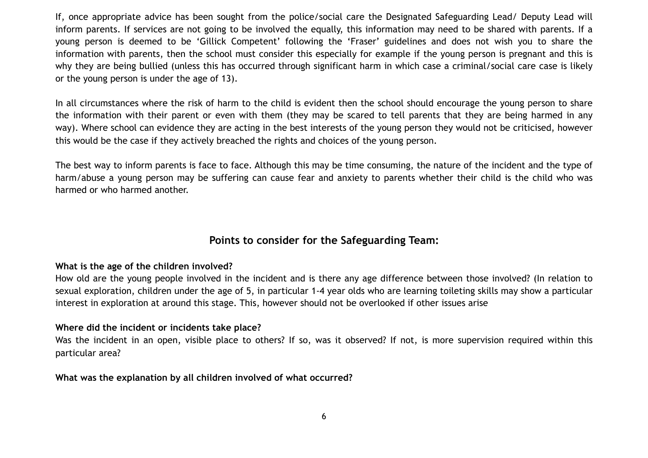If, once appropriate advice has been sought from the police/social care the Designated Safeguarding Lead/ Deputy Lead will inform parents. If services are not going to be involved the equally, this information may need to be shared with parents. If a young person is deemed to be 'Gillick Competent' following the 'Fraser' guidelines and does not wish you to share the information with parents, then the school must consider this especially for example if the young person is pregnant and this is why they are being bullied (unless this has occurred through significant harm in which case a criminal/social care case is likely or the young person is under the age of 13).

In all circumstances where the risk of harm to the child is evident then the school should encourage the young person to share the information with their parent or even with them (they may be scared to tell parents that they are being harmed in any way). Where school can evidence they are acting in the best interests of the young person they would not be criticised, however this would be the case if they actively breached the rights and choices of the young person.

The best way to inform parents is face to face. Although this may be time consuming, the nature of the incident and the type of harm/abuse a young person may be suffering can cause fear and anxiety to parents whether their child is the child who was harmed or who harmed another.

## **Points to consider for the Safeguarding Team:**

#### **What is the age of the children involved?**

How old are the young people involved in the incident and is there any age difference between those involved? (In relation to sexual exploration, children under the age of 5, in particular 1-4 year olds who are learning toileting skills may show a particular interest in exploration at around this stage. This, however should not be overlooked if other issues arise

#### **Where did the incident or incidents take place?**

Was the incident in an open, visible place to others? If so, was it observed? If not, is more supervision required within this particular area?

#### **What was the explanation by all children involved of what occurred?**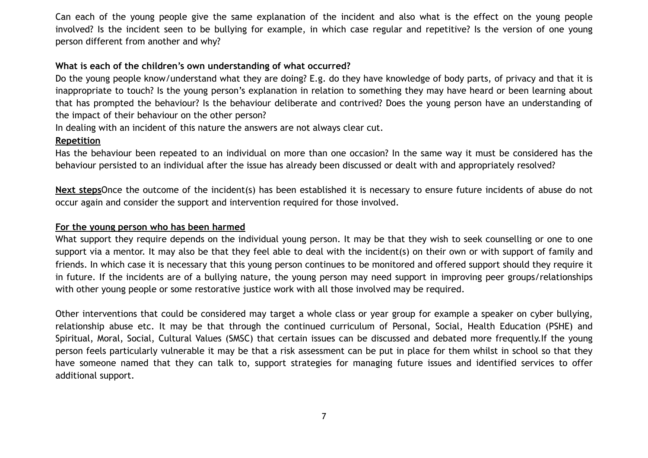Can each of the young people give the same explanation of the incident and also what is the effect on the young people involved? Is the incident seen to be bullying for example, in which case regular and repetitive? Is the version of one young person different from another and why?

#### **What is each of the children's own understanding of what occurred?**

Do the young people know/understand what they are doing? E.g. do they have knowledge of body parts, of privacy and that it is inappropriate to touch? Is the young person's explanation in relation to something they may have heard or been learning about that has prompted the behaviour? Is the behaviour deliberate and contrived? Does the young person have an understanding of the impact of their behaviour on the other person?

In dealing with an incident of this nature the answers are not always clear cut.

#### **Repetition**

Has the behaviour been repeated to an individual on more than one occasion? In the same way it must be considered has the behaviour persisted to an individual after the issue has already been discussed or dealt with and appropriately resolved?

**Next steps**Once the outcome of the incident(s) has been established it is necessary to ensure future incidents of abuse do not occur again and consider the support and intervention required for those involved.

#### **For the young person who has been harmed**

What support they require depends on the individual young person. It may be that they wish to seek counselling or one to one support via a mentor. It may also be that they feel able to deal with the incident(s) on their own or with support of family and friends. In which case it is necessary that this young person continues to be monitored and offered support should they require it in future. If the incidents are of a bullying nature, the young person may need support in improving peer groups/relationships with other young people or some restorative justice work with all those involved may be required.

Other interventions that could be considered may target a whole class or year group for example a speaker on cyber bullying, relationship abuse etc. It may be that through the continued curriculum of Personal, Social, Health Education (PSHE) and Spiritual, Moral, Social, Cultural Values (SMSC) that certain issues can be discussed and debated more frequently.If the young person feels particularly vulnerable it may be that a risk assessment can be put in place for them whilst in school so that they have someone named that they can talk to, support strategies for managing future issues and identified services to offer additional support.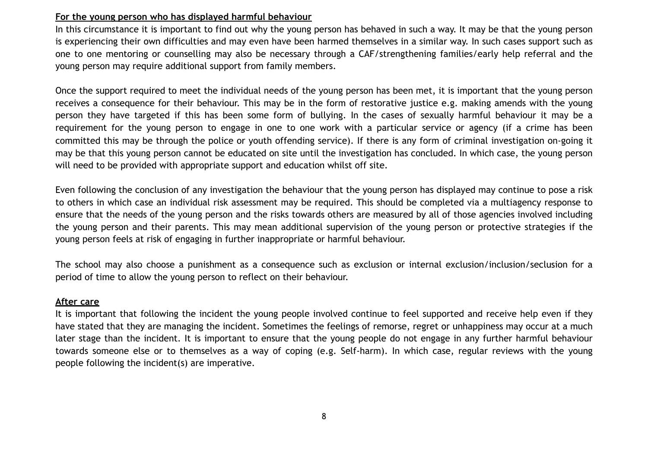#### **For the young person who has displayed harmful behaviour**

In this circumstance it is important to find out why the young person has behaved in such a way. It may be that the young person is experiencing their own difficulties and may even have been harmed themselves in a similar way. In such cases support such as one to one mentoring or counselling may also be necessary through a CAF/strengthening families/early help referral and the young person may require additional support from family members.

Once the support required to meet the individual needs of the young person has been met, it is important that the young person receives a consequence for their behaviour. This may be in the form of restorative justice e.g. making amends with the young person they have targeted if this has been some form of bullying. In the cases of sexually harmful behaviour it may be a requirement for the young person to engage in one to one work with a particular service or agency (if a crime has been committed this may be through the police or youth offending service). If there is any form of criminal investigation on-going it may be that this young person cannot be educated on site until the investigation has concluded. In which case, the young person will need to be provided with appropriate support and education whilst off site.

Even following the conclusion of any investigation the behaviour that the young person has displayed may continue to pose a risk to others in which case an individual risk assessment may be required. This should be completed via a multiagency response to ensure that the needs of the young person and the risks towards others are measured by all of those agencies involved including the young person and their parents. This may mean additional supervision of the young person or protective strategies if the young person feels at risk of engaging in further inappropriate or harmful behaviour.

The school may also choose a punishment as a consequence such as exclusion or internal exclusion/inclusion/seclusion for a period of time to allow the young person to reflect on their behaviour.

#### **After care**

It is important that following the incident the young people involved continue to feel supported and receive help even if they have stated that they are managing the incident. Sometimes the feelings of remorse, regret or unhappiness may occur at a much later stage than the incident. It is important to ensure that the young people do not engage in any further harmful behaviour towards someone else or to themselves as a way of coping (e.g. Self-harm). In which case, regular reviews with the young people following the incident(s) are imperative.